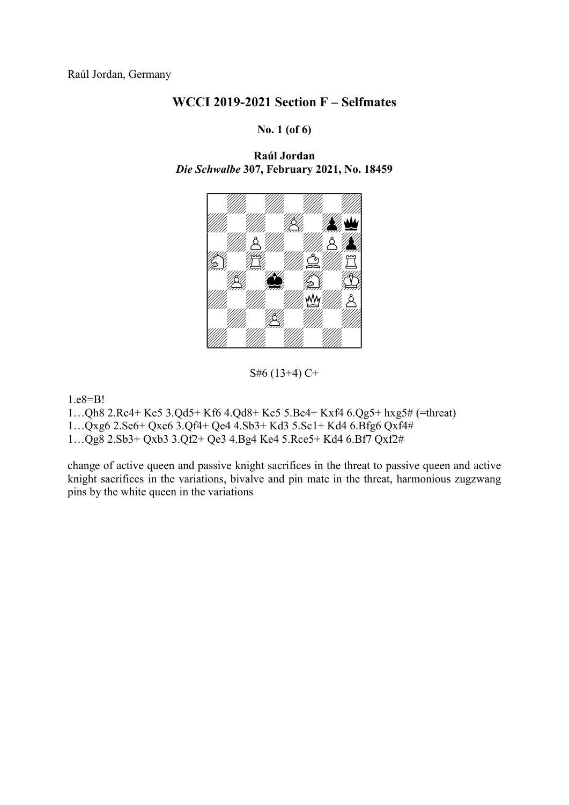#### No. 1 (of 6)

Raúl Jordan Die Schwalbe 307, February 2021, No. 18459



S#6 (13+4) C+

1.e8=B!

1…Qh8 2.Rc4+ Ke5 3.Qd5+ Kf6 4.Qd8+ Ke5 5.Be4+ Kxf4 6.Qg5+ hxg5# (=threat)

1…Qxg6 2.Se6+ Qxe6 3.Qf4+ Qe4 4.Sb3+ Kd3 5.Sc1+ Kd4 6.Bfg6 Qxf4#

1…Qg8 2.Sb3+ Qxb3 3.Qf2+ Qe3 4.Bg4 Ke4 5.Rce5+ Kd4 6.Bf7 Qxf2#

change of active queen and passive knight sacrifices in the threat to passive queen and active knight sacrifices in the variations, bivalve and pin mate in the threat, harmonious zugzwang pins by the white queen in the variations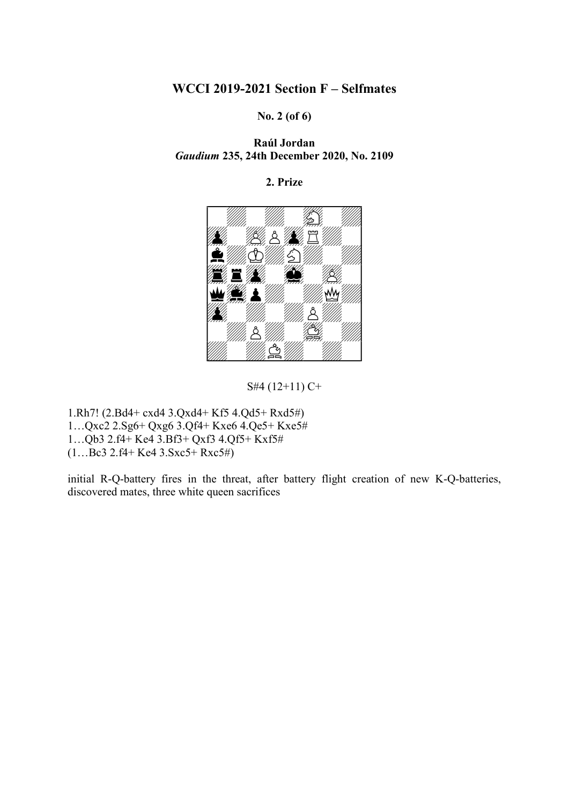No. 2 (of 6)

Raúl Jordan Gaudium 235, 24th December 2020, No. 2109

#### 2. Prize



S#4 (12+11) C+

1.Rh7! (2.Bd4+ cxd4 3.Qxd4+ Kf5 4.Qd5+ Rxd5#) 1…Qxc2 2.Sg6+ Qxg6 3.Qf4+ Kxe6 4.Qe5+ Kxe5# 1…Qb3 2.f4+ Ke4 3.Bf3+ Qxf3 4.Qf5+ Kxf5#  $(1...Be3 2.f4+Ke4 3.Sxc5+Rxc5\#)$ 

initial R-Q-battery fires in the threat, after battery flight creation of new K-Q-batteries, discovered mates, three white queen sacrifices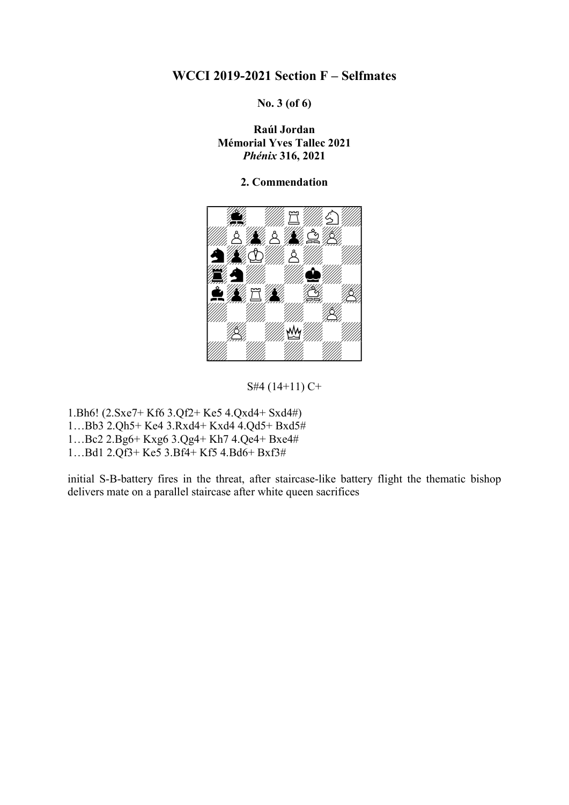No. 3 (of 6)

Raúl Jordan Mémorial Yves Tallec 2021 Phénix 316, 2021

#### 2. Commendation



S#4 (14+11) C+

1.Bh6! (2.Sxe7+ Kf6 3.Qf2+ Ke5 4.Qxd4+ Sxd4#)

1…Bb3 2.Qh5+ Ke4 3.Rxd4+ Kxd4 4.Qd5+ Bxd5#

1…Bc2 2.Bg6+ Kxg6 3.Qg4+ Kh7 4.Qe4+ Bxe4#

1…Bd1 2.Qf3+ Ke5 3.Bf4+ Kf5 4.Bd6+ Bxf3#

initial S-B-battery fires in the threat, after staircase-like battery flight the thematic bishop delivers mate on a parallel staircase after white queen sacrifices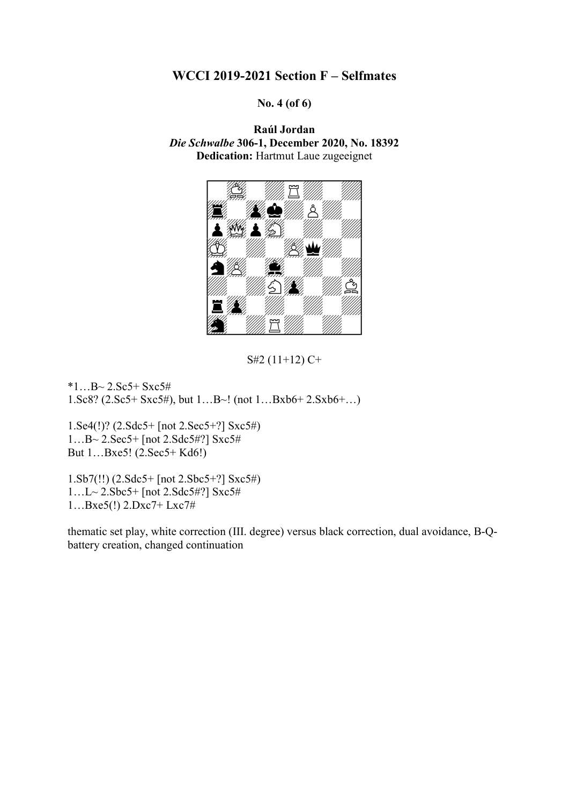No. 4 (of 6)

Raúl Jordan Die Schwalbe 306-1, December 2020, No. 18392 Dedication: Hartmut Laue zugeeignet



S#2 (11+12) C+

 $*1...B~2.Sc5+Sxc5#$ 1.Sc8? (2.Sc5+ Sxc5#), but 1…B~! (not 1…Bxb6+ 2.Sxb6+…)

1.Se4(!)? (2.Sdc5+ [not 2.Sec5+?] Sxc5#) 1…B~ 2.Sec5+ [not 2.Sdc5#?] Sxc5# But 1…Bxe5! (2.Sec5+ Kd6!)

1.Sb7(!!) (2.Sdc5+ [not 2.Sbc5+?] Sxc5#) 1…L~ 2.Sbc5+ [not 2.Sdc5#?] Sxc5# 1…Bxe5(!) 2.Dxc7+ Lxc7#

thematic set play, white correction (III. degree) versus black correction, dual avoidance, B-Qbattery creation, changed continuation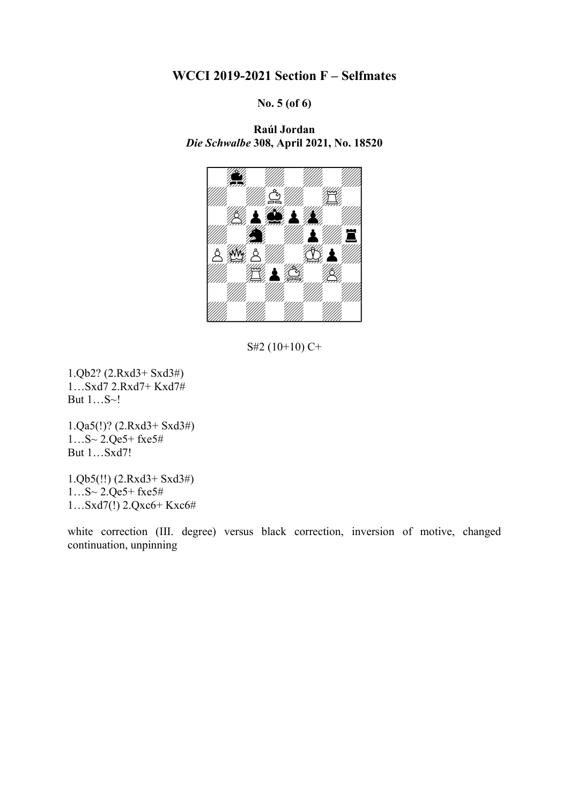No. 5 (of 6)

Raúl Jordan Die Schwalbe 308, April 2021, No. 18520



S#2 (10+10) C+

1.Qb2? (2.Rxd3+ Sxd3#) 1…Sxd7 2.Rxd7+ Kxd7# But 1…S~!

1.Qa5(!)? (2.Rxd3+ Sxd3#) 1…S~ 2.Qe5+ fxe5# But 1…Sxd7!

1.Qb5(!!) (2.Rxd3+ Sxd3#) 1…S~ 2.Qe5+ fxe5# 1…Sxd7(!) 2.Qxc6+ Kxc6#

white correction (III. degree) versus black correction, inversion of motive, changed continuation, unpinning